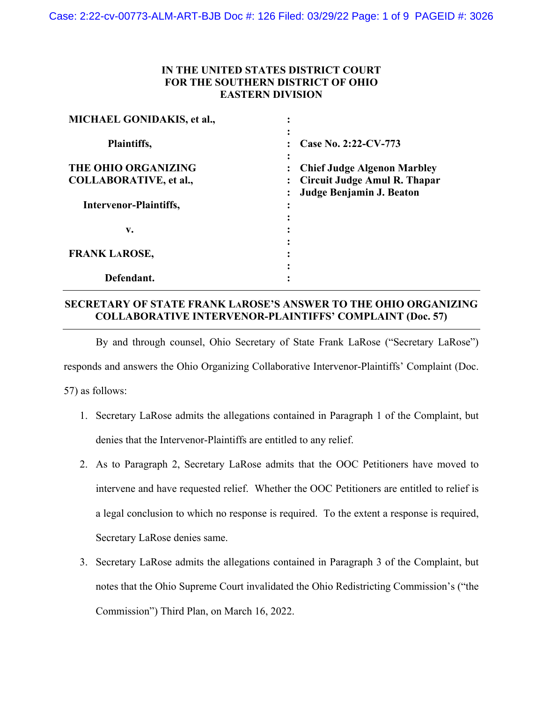## **IN THE UNITED STATES DISTRICT COURT FOR THE SOUTHERN DISTRICT OF OHIO EASTERN DIVISION**

| <b>MICHAEL GONIDAKIS, et al.,</b> |                                                |
|-----------------------------------|------------------------------------------------|
| Plaintiffs,                       | ٠<br>Case No. 2:22-CV-773                      |
| THE OHIO ORGANIZING               | <b>Chief Judge Algenon Marbley</b>             |
| <b>COLLABORATIVE, et al.,</b>     | Circuit Judge Amul R. Thapar<br>$\ddot{\cdot}$ |
|                                   | Judge Benjamin J. Beaton                       |
| Intervenor-Plaintiffs,            |                                                |
|                                   |                                                |
| v.                                |                                                |
| <b>FRANK LAROSE,</b>              |                                                |
|                                   |                                                |
| Defendant.                        |                                                |
|                                   |                                                |

## **SECRETARY OF STATE FRANK LAROSE'S ANSWER TO THE OHIO ORGANIZING COLLABORATIVE INTERVENOR-PLAINTIFFS' COMPLAINT (Doc. 57)**

By and through counsel, Ohio Secretary of State Frank LaRose ("Secretary LaRose")

responds and answers the Ohio Organizing Collaborative Intervenor-Plaintiffs' Complaint (Doc.

57) as follows:

- 1. Secretary LaRose admits the allegations contained in Paragraph 1 of the Complaint, but denies that the Intervenor-Plaintiffs are entitled to any relief.
- 2. As to Paragraph 2, Secretary LaRose admits that the OOC Petitioners have moved to intervene and have requested relief. Whether the OOC Petitioners are entitled to relief is a legal conclusion to which no response is required. To the extent a response is required, Secretary LaRose denies same.
- 3. Secretary LaRose admits the allegations contained in Paragraph 3 of the Complaint, but notes that the Ohio Supreme Court invalidated the Ohio Redistricting Commission's ("the Commission") Third Plan, on March 16, 2022.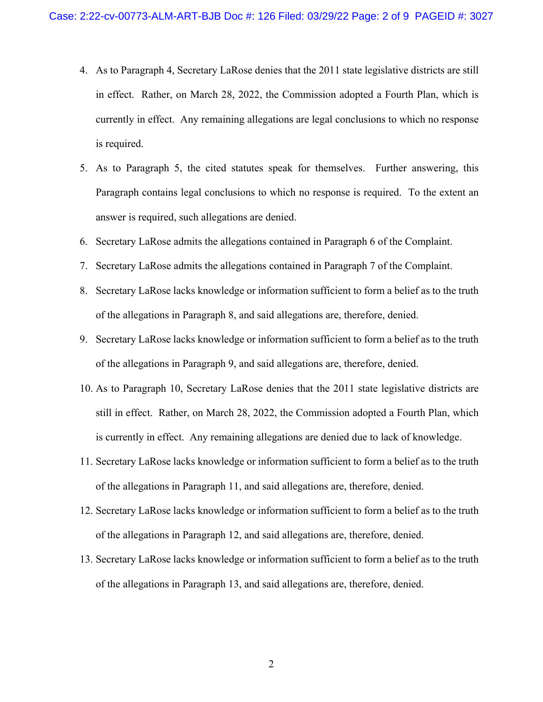- 4. As to Paragraph 4, Secretary LaRose denies that the 2011 state legislative districts are still in effect. Rather, on March 28, 2022, the Commission adopted a Fourth Plan, which is currently in effect. Any remaining allegations are legal conclusions to which no response is required.
- 5. As to Paragraph 5, the cited statutes speak for themselves. Further answering, this Paragraph contains legal conclusions to which no response is required. To the extent an answer is required, such allegations are denied.
- 6. Secretary LaRose admits the allegations contained in Paragraph 6 of the Complaint.
- 7. Secretary LaRose admits the allegations contained in Paragraph 7 of the Complaint.
- 8. Secretary LaRose lacks knowledge or information sufficient to form a belief as to the truth of the allegations in Paragraph 8, and said allegations are, therefore, denied.
- 9. Secretary LaRose lacks knowledge or information sufficient to form a belief as to the truth of the allegations in Paragraph 9, and said allegations are, therefore, denied.
- 10. As to Paragraph 10, Secretary LaRose denies that the 2011 state legislative districts are still in effect. Rather, on March 28, 2022, the Commission adopted a Fourth Plan, which is currently in effect. Any remaining allegations are denied due to lack of knowledge.
- 11. Secretary LaRose lacks knowledge or information sufficient to form a belief as to the truth of the allegations in Paragraph 11, and said allegations are, therefore, denied.
- 12. Secretary LaRose lacks knowledge or information sufficient to form a belief as to the truth of the allegations in Paragraph 12, and said allegations are, therefore, denied.
- 13. Secretary LaRose lacks knowledge or information sufficient to form a belief as to the truth of the allegations in Paragraph 13, and said allegations are, therefore, denied.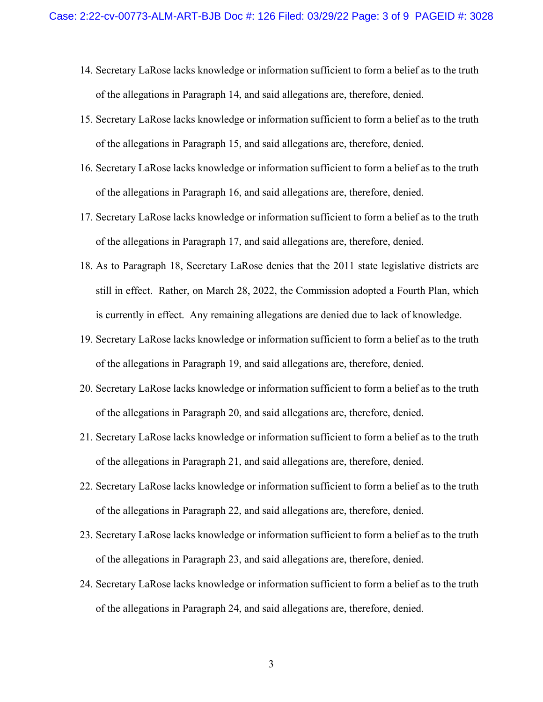- 14. Secretary LaRose lacks knowledge or information sufficient to form a belief as to the truth of the allegations in Paragraph 14, and said allegations are, therefore, denied.
- 15. Secretary LaRose lacks knowledge or information sufficient to form a belief as to the truth of the allegations in Paragraph 15, and said allegations are, therefore, denied.
- 16. Secretary LaRose lacks knowledge or information sufficient to form a belief as to the truth of the allegations in Paragraph 16, and said allegations are, therefore, denied.
- 17. Secretary LaRose lacks knowledge or information sufficient to form a belief as to the truth of the allegations in Paragraph 17, and said allegations are, therefore, denied.
- 18. As to Paragraph 18, Secretary LaRose denies that the 2011 state legislative districts are still in effect. Rather, on March 28, 2022, the Commission adopted a Fourth Plan, which is currently in effect. Any remaining allegations are denied due to lack of knowledge.
- 19. Secretary LaRose lacks knowledge or information sufficient to form a belief as to the truth of the allegations in Paragraph 19, and said allegations are, therefore, denied.
- 20. Secretary LaRose lacks knowledge or information sufficient to form a belief as to the truth of the allegations in Paragraph 20, and said allegations are, therefore, denied.
- 21. Secretary LaRose lacks knowledge or information sufficient to form a belief as to the truth of the allegations in Paragraph 21, and said allegations are, therefore, denied.
- 22. Secretary LaRose lacks knowledge or information sufficient to form a belief as to the truth of the allegations in Paragraph 22, and said allegations are, therefore, denied.
- 23. Secretary LaRose lacks knowledge or information sufficient to form a belief as to the truth of the allegations in Paragraph 23, and said allegations are, therefore, denied.
- 24. Secretary LaRose lacks knowledge or information sufficient to form a belief as to the truth of the allegations in Paragraph 24, and said allegations are, therefore, denied.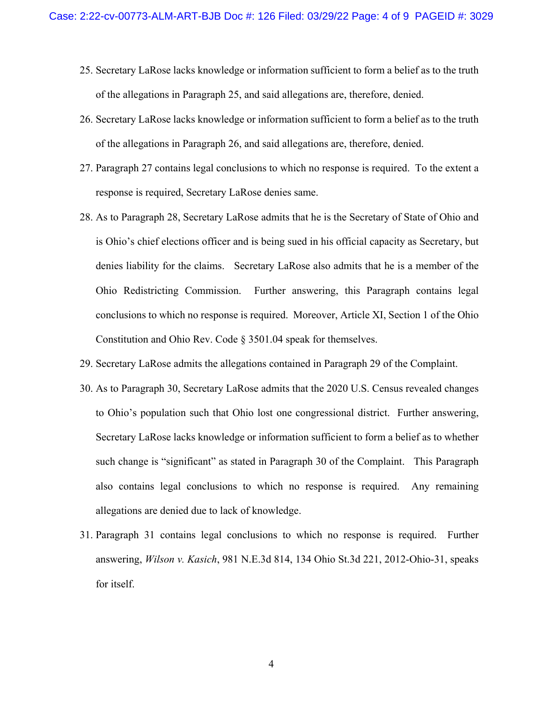- 25. Secretary LaRose lacks knowledge or information sufficient to form a belief as to the truth of the allegations in Paragraph 25, and said allegations are, therefore, denied.
- 26. Secretary LaRose lacks knowledge or information sufficient to form a belief as to the truth of the allegations in Paragraph 26, and said allegations are, therefore, denied.
- 27. Paragraph 27 contains legal conclusions to which no response is required. To the extent a response is required, Secretary LaRose denies same.
- 28. As to Paragraph 28, Secretary LaRose admits that he is the Secretary of State of Ohio and is Ohio's chief elections officer and is being sued in his official capacity as Secretary, but denies liability for the claims. Secretary LaRose also admits that he is a member of the Ohio Redistricting Commission. Further answering, this Paragraph contains legal conclusions to which no response is required. Moreover, Article XI, Section 1 of the Ohio Constitution and Ohio Rev. Code § 3501.04 speak for themselves.
- 29. Secretary LaRose admits the allegations contained in Paragraph 29 of the Complaint.
- 30. As to Paragraph 30, Secretary LaRose admits that the 2020 U.S. Census revealed changes to Ohio's population such that Ohio lost one congressional district. Further answering, Secretary LaRose lacks knowledge or information sufficient to form a belief as to whether such change is "significant" as stated in Paragraph 30 of the Complaint. This Paragraph also contains legal conclusions to which no response is required. Any remaining allegations are denied due to lack of knowledge.
- 31. Paragraph 31 contains legal conclusions to which no response is required. Further answering, *Wilson v. Kasich*, 981 N.E.3d 814, 134 Ohio St.3d 221, 2012-Ohio-31, speaks for itself.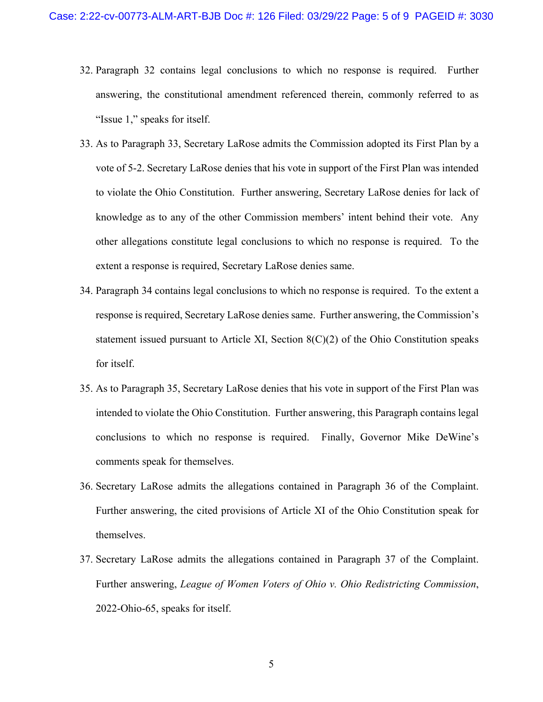- 32. Paragraph 32 contains legal conclusions to which no response is required. Further answering, the constitutional amendment referenced therein, commonly referred to as "Issue 1," speaks for itself.
- 33. As to Paragraph 33, Secretary LaRose admits the Commission adopted its First Plan by a vote of 5-2. Secretary LaRose denies that his vote in support of the First Plan was intended to violate the Ohio Constitution. Further answering, Secretary LaRose denies for lack of knowledge as to any of the other Commission members' intent behind their vote. Any other allegations constitute legal conclusions to which no response is required. To the extent a response is required, Secretary LaRose denies same.
- 34. Paragraph 34 contains legal conclusions to which no response is required. To the extent a response is required, Secretary LaRose denies same. Further answering, the Commission's statement issued pursuant to Article XI, Section  $8(C)(2)$  of the Ohio Constitution speaks for itself.
- 35. As to Paragraph 35, Secretary LaRose denies that his vote in support of the First Plan was intended to violate the Ohio Constitution. Further answering, this Paragraph contains legal conclusions to which no response is required. Finally, Governor Mike DeWine's comments speak for themselves.
- 36. Secretary LaRose admits the allegations contained in Paragraph 36 of the Complaint. Further answering, the cited provisions of Article XI of the Ohio Constitution speak for themselves.
- 37. Secretary LaRose admits the allegations contained in Paragraph 37 of the Complaint. Further answering, *League of Women Voters of Ohio v. Ohio Redistricting Commission*, 2022-Ohio-65, speaks for itself.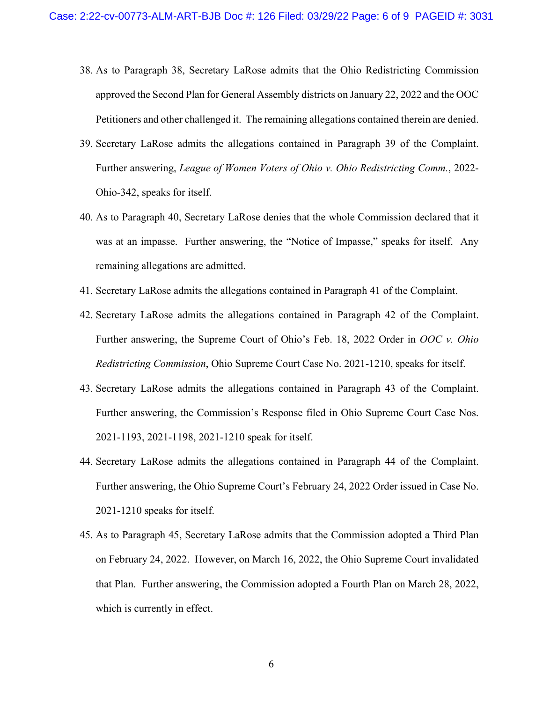- 38. As to Paragraph 38, Secretary LaRose admits that the Ohio Redistricting Commission approved the Second Plan for General Assembly districts on January 22, 2022 and the OOC Petitioners and other challenged it. The remaining allegations contained therein are denied.
- 39. Secretary LaRose admits the allegations contained in Paragraph 39 of the Complaint. Further answering, *League of Women Voters of Ohio v. Ohio Redistricting Comm.*, 2022- Ohio-342, speaks for itself.
- 40. As to Paragraph 40, Secretary LaRose denies that the whole Commission declared that it was at an impasse. Further answering, the "Notice of Impasse," speaks for itself. Any remaining allegations are admitted.
- 41. Secretary LaRose admits the allegations contained in Paragraph 41 of the Complaint.
- 42. Secretary LaRose admits the allegations contained in Paragraph 42 of the Complaint. Further answering, the Supreme Court of Ohio's Feb. 18, 2022 Order in *OOC v. Ohio Redistricting Commission*, Ohio Supreme Court Case No. 2021-1210, speaks for itself.
- 43. Secretary LaRose admits the allegations contained in Paragraph 43 of the Complaint. Further answering, the Commission's Response filed in Ohio Supreme Court Case Nos. 2021-1193, 2021-1198, 2021-1210 speak for itself.
- 44. Secretary LaRose admits the allegations contained in Paragraph 44 of the Complaint. Further answering, the Ohio Supreme Court's February 24, 2022 Order issued in Case No. 2021-1210 speaks for itself.
- 45. As to Paragraph 45, Secretary LaRose admits that the Commission adopted a Third Plan on February 24, 2022. However, on March 16, 2022, the Ohio Supreme Court invalidated that Plan. Further answering, the Commission adopted a Fourth Plan on March 28, 2022, which is currently in effect.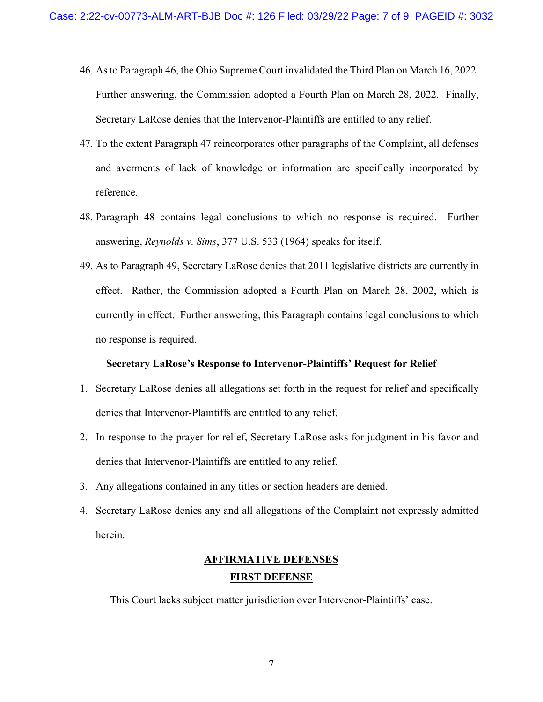- 46. As to Paragraph 46, the Ohio Supreme Court invalidated the Third Plan on March 16, 2022. Further answering, the Commission adopted a Fourth Plan on March 28, 2022. Finally, Secretary LaRose denies that the Intervenor-Plaintiffs are entitled to any relief.
- 47. To the extent Paragraph 47 reincorporates other paragraphs of the Complaint, all defenses and averments of lack of knowledge or information are specifically incorporated by reference.
- 48. Paragraph 48 contains legal conclusions to which no response is required. Further answering, *Reynolds v. Sims*, 377 U.S. 533 (1964) speaks for itself.
- 49. As to Paragraph 49, Secretary LaRose denies that 2011 legislative districts are currently in effect. Rather, the Commission adopted a Fourth Plan on March 28, 2002, which is currently in effect. Further answering, this Paragraph contains legal conclusions to which no response is required.

#### **Secretary LaRose's Response to Intervenor-Plaintiffs' Request for Relief**

- 1. Secretary LaRose denies all allegations set forth in the request for relief and specifically denies that Intervenor-Plaintiffs are entitled to any relief.
- 2. In response to the prayer for relief, Secretary LaRose asks for judgment in his favor and denies that Intervenor-Plaintiffs are entitled to any relief.
- 3. Any allegations contained in any titles or section headers are denied.
- 4. Secretary LaRose denies any and all allegations of the Complaint not expressly admitted herein.

# **AFFIRMATIVE DEFENSES FIRST DEFENSE**

This Court lacks subject matter jurisdiction over Intervenor-Plaintiffs' case.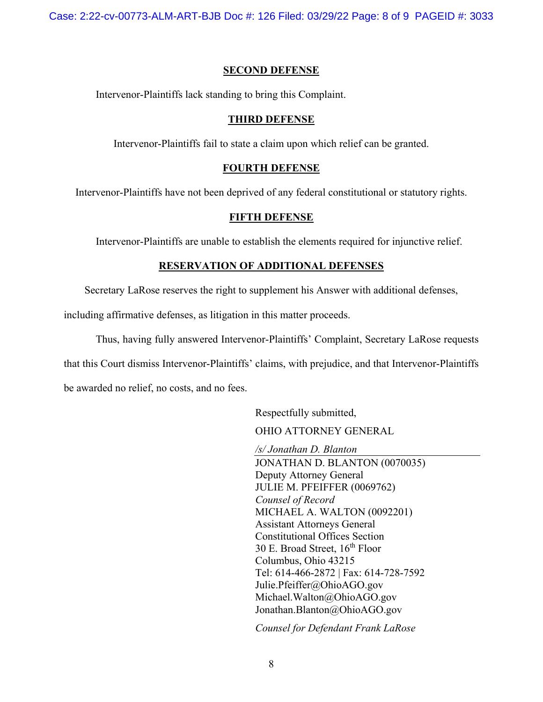Case: 2:22-cv-00773-ALM-ART-BJB Doc #: 126 Filed: 03/29/22 Page: 8 of 9 PAGEID #: 3033

#### **SECOND DEFENSE**

Intervenor-Plaintiffs lack standing to bring this Complaint.

#### **THIRD DEFENSE**

Intervenor-Plaintiffs fail to state a claim upon which relief can be granted.

#### **FOURTH DEFENSE**

Intervenor-Plaintiffs have not been deprived of any federal constitutional or statutory rights.

#### **FIFTH DEFENSE**

Intervenor-Plaintiffs are unable to establish the elements required for injunctive relief.

#### **RESERVATION OF ADDITIONAL DEFENSES**

Secretary LaRose reserves the right to supplement his Answer with additional defenses,

including affirmative defenses, as litigation in this matter proceeds.

Thus, having fully answered Intervenor-Plaintiffs' Complaint, Secretary LaRose requests that this Court dismiss Intervenor-Plaintiffs' claims, with prejudice, and that Intervenor-Plaintiffs be awarded no relief, no costs, and no fees.

Respectfully submitted,

OHIO ATTORNEY GENERAL

*/s/ Jonathan D. Blanton*

JONATHAN D. BLANTON (0070035) Deputy Attorney General JULIE M. PFEIFFER (0069762) *Counsel of Record* MICHAEL A. WALTON (0092201) Assistant Attorneys General Constitutional Offices Section 30 E. Broad Street,  $16^{th}$  Floor Columbus, Ohio 43215 Tel: 614-466-2872 | Fax: 614-728-7592 Julie.Pfeiffer@OhioAGO.gov Michael.Walton@OhioAGO.gov Jonathan.Blanton@OhioAGO.gov

*Counsel for Defendant Frank LaRose*